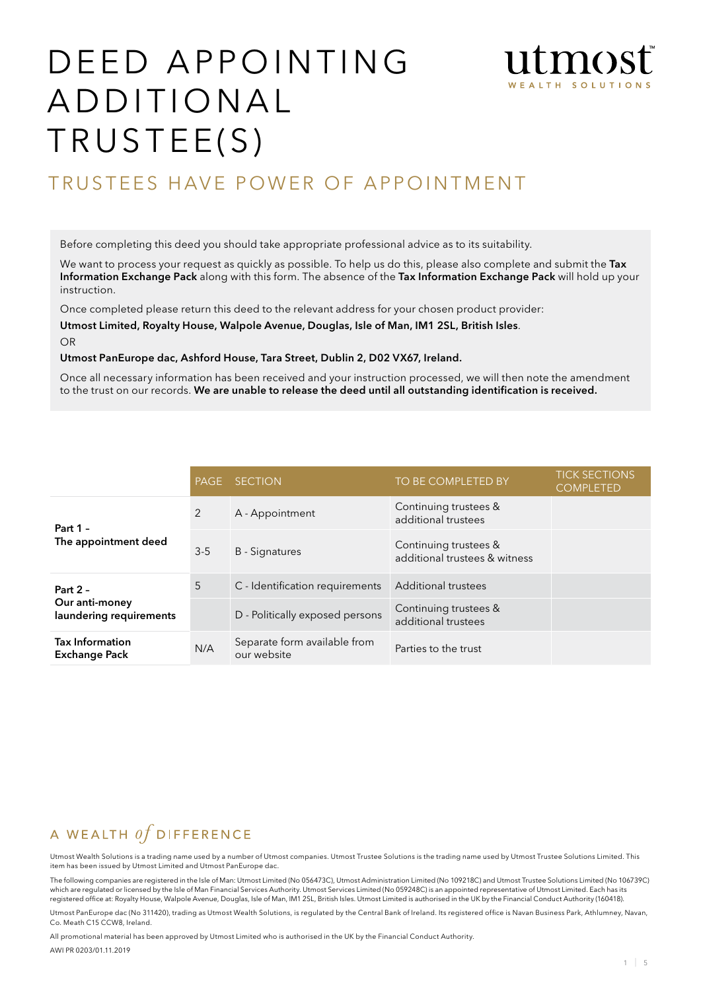# DEED APPOINTING ADDITIONAL TRUSTEE(S)



## TRUSTEES HAVE POWER OF APPOINTMENT

Before completing this deed you should take appropriate professional advice as to its suitability.

We want to process your request as quickly as possible. To help us do this, please also complete and submit the Tax Information Exchange Pack along with this form. The absence of the Tax Information Exchange Pack will hold up your instruction.

Once completed please return this deed to the relevant address for your chosen product provider:

Utmost Limited, Royalty House, Walpole Avenue, Douglas, Isle of Man, IM1 2SL, British Isles. OR

Utmost PanEurope dac, Ashford House, Tara Street, Dublin 2, D02 VX67, Ireland.

Once all necessary information has been received and your instruction processed, we will then note the amendment to the trust on our records. We are unable to release the deed until all outstanding identification is received.

|                                                         | PAGE  | <b>SECTION</b>                              | TO BE COMPLETED BY                                     | <b>TICK SECTIONS</b><br><b>COMPLETED</b> |
|---------------------------------------------------------|-------|---------------------------------------------|--------------------------------------------------------|------------------------------------------|
| Part 1 -<br>The appointment deed                        | 2     | A - Appointment                             | Continuing trustees &<br>additional trustees           |                                          |
|                                                         | $3-5$ | <b>B</b> - Signatures                       | Continuing trustees &<br>additional trustees & witness |                                          |
| Part $2 -$<br>Our anti-money<br>laundering requirements | 5     | C - Identification requirements             | <b>Additional trustees</b>                             |                                          |
|                                                         |       | D - Politically exposed persons             | Continuing trustees &<br>additional trustees           |                                          |
| <b>Tax Information</b><br><b>Exchange Pack</b>          | N/A   | Separate form available from<br>our website | Parties to the trust                                   |                                          |

#### A WEALTH  $of$  DIFFERENCE

Utmost Wealth Solutions is a trading name used by a number of Utmost companies. Utmost Trustee Solutions is the trading name used by Utmost Trustee Solutions Limited. This item has been issued by Utmost Limited and Utmost PanEurope dac.

The following companies are registered in the Isle of Man: Utmost Limited (No 056473C), Utmost Administration Limited (No 109218C) and Utmost Trustee Solutions Limited (No 106739C) which are regulated or licensed by the Isle of Man Financial Services Authority. Utmost Services Limited (No 059248C) is an appointed representative of Utmost Limited. Each has its registered office at: Royalty House, Walpole Avenue, Douglas, Isle of Man, IM1 2SL, British Isles. Utmost Limited is authorised in the UK by the Financial Conduct Authority (160418).

Utmost PanEurope dac (No 311420), trading as Utmost Wealth Solutions, is regulated by the Central Bank of Ireland. Its registered office is Navan Business Park, Athlumney, Navan, Co. Meath C15 CCW8, Ireland.

All promotional material has been approved by Utmost Limited who is authorised in the UK by the Financial Conduct Authority. AWI PR 0203/01.11.2019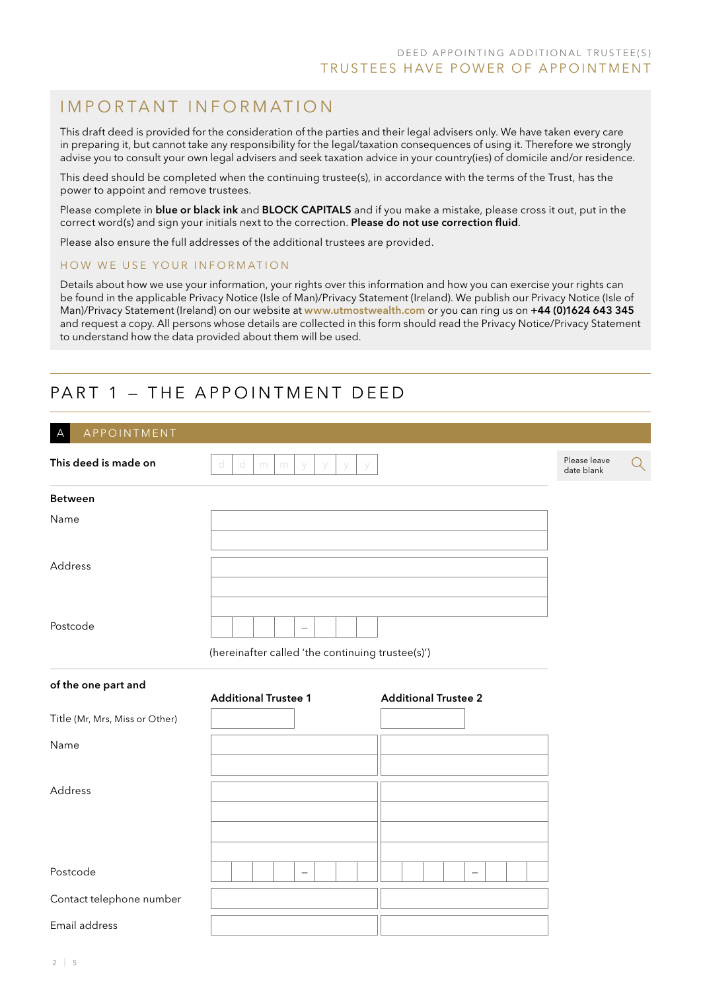## I m p o r ta n t i n f o r m at i o n

This draft deed is provided for the consideration of the parties and their legal advisers only. We have taken every care in preparing it, but cannot take any responsibility for the legal/taxation consequences of using it. Therefore we strongly advise you to consult your own legal advisers and seek taxation advice in your country(ies) of domicile and/or residence.

This deed should be completed when the continuing trustee(s), in accordance with the terms of the Trust, has the power to appoint and remove trustees.

Please complete in blue or black ink and BLOCK CAPITALS and if you make a mistake, please cross it out, put in the correct word(s) and sign your initials next to the correction. Please do not use correction fluid.

Please also ensure the full addresses of the additional trustees are provided.

#### HOW WE USE YOUR INFORMATION

Details about how we use your information, your rights over this information and how you can exercise your rights can be found in the applicable Privacy Notice (Isle of Man)/Privacy Statement (Ireland). We publish our Privacy Notice (Isle of Man)/Privacy Statement (Ireland) on our website at www.utmostwealth.com or you can ring us on +44 (0)1624 643 345 and request a copy. All persons whose details are collected in this form should read the Privacy Notice/Privacy Statement to understand how the data provided about them will be used.

## PART 1 – THE APPOINTMENT DEED

| APPOINTMENT<br>$\overline{A}$  |                                                            |                            |   |
|--------------------------------|------------------------------------------------------------|----------------------------|---|
| This deed is made on           | d<br>d<br>m<br>m<br>y<br>У<br>У                            | Please leave<br>date blank | Q |
| <b>Between</b>                 |                                                            |                            |   |
| Name                           |                                                            |                            |   |
| Address                        |                                                            |                            |   |
| Postcode                       | $\overline{\phantom{m}}$                                   |                            |   |
|                                | (hereinafter called 'the continuing trustee(s)')           |                            |   |
| of the one part and            | <b>Additional Trustee 1</b><br><b>Additional Trustee 2</b> |                            |   |
| Title (Mr, Mrs, Miss or Other) |                                                            |                            |   |
| Name                           |                                                            |                            |   |
| Address                        |                                                            |                            |   |
|                                |                                                            |                            |   |
| Postcode                       | $\qquad \qquad -$<br>$\qquad \qquad -$                     |                            |   |
| Contact telephone number       |                                                            |                            |   |
| Email address                  |                                                            |                            |   |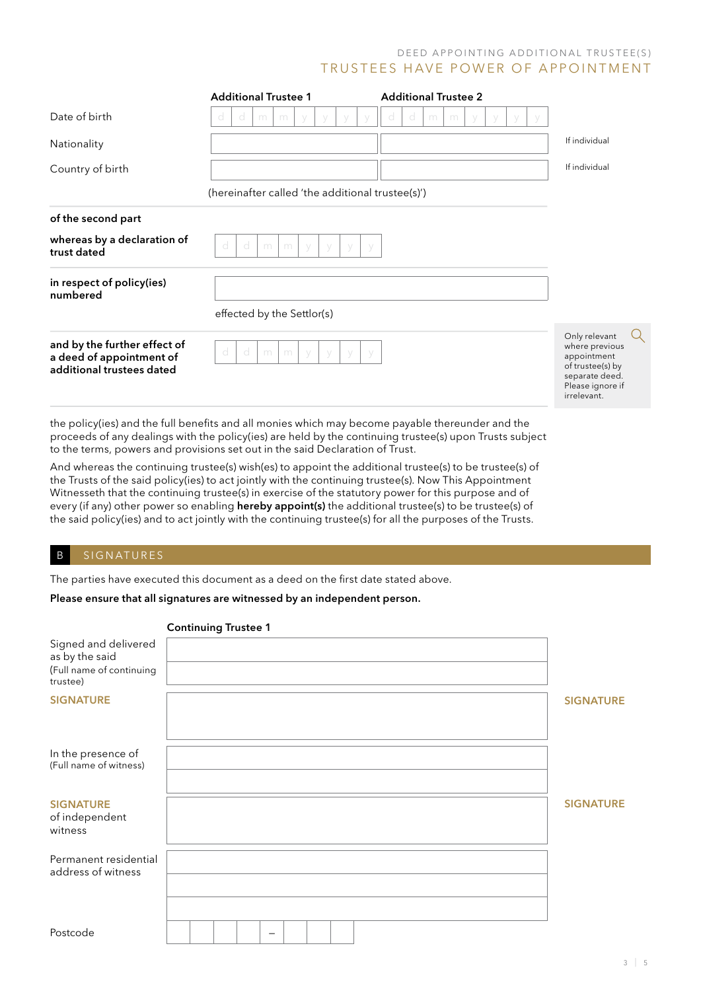#### D E ED A P POINTING ADDITIONAL TRUSTEE(S) TRUSTEES HAVE POWER OF APPOINTMENT

|                                                                                                    | <b>Additional Trustee 2</b><br><b>Additional Trustee 1</b>                                                                                                                                                                                                                                                                                                                                                                                                                                                                                                                                                                                                                                                                                                                                                                                               |                                                                                                                         |
|----------------------------------------------------------------------------------------------------|----------------------------------------------------------------------------------------------------------------------------------------------------------------------------------------------------------------------------------------------------------------------------------------------------------------------------------------------------------------------------------------------------------------------------------------------------------------------------------------------------------------------------------------------------------------------------------------------------------------------------------------------------------------------------------------------------------------------------------------------------------------------------------------------------------------------------------------------------------|-------------------------------------------------------------------------------------------------------------------------|
| Date of birth                                                                                      | m<br>m<br>m<br>m                                                                                                                                                                                                                                                                                                                                                                                                                                                                                                                                                                                                                                                                                                                                                                                                                                         |                                                                                                                         |
| Nationality                                                                                        |                                                                                                                                                                                                                                                                                                                                                                                                                                                                                                                                                                                                                                                                                                                                                                                                                                                          | If individual                                                                                                           |
| Country of birth                                                                                   |                                                                                                                                                                                                                                                                                                                                                                                                                                                                                                                                                                                                                                                                                                                                                                                                                                                          | If individual                                                                                                           |
|                                                                                                    | (hereinafter called 'the additional trustee(s)')                                                                                                                                                                                                                                                                                                                                                                                                                                                                                                                                                                                                                                                                                                                                                                                                         |                                                                                                                         |
| of the second part                                                                                 |                                                                                                                                                                                                                                                                                                                                                                                                                                                                                                                                                                                                                                                                                                                                                                                                                                                          |                                                                                                                         |
| whereas by a declaration of<br>trust dated                                                         | d<br>d<br>m<br>m                                                                                                                                                                                                                                                                                                                                                                                                                                                                                                                                                                                                                                                                                                                                                                                                                                         |                                                                                                                         |
| in respect of policy(ies)<br>numbered                                                              |                                                                                                                                                                                                                                                                                                                                                                                                                                                                                                                                                                                                                                                                                                                                                                                                                                                          |                                                                                                                         |
|                                                                                                    | effected by the Settlor(s)                                                                                                                                                                                                                                                                                                                                                                                                                                                                                                                                                                                                                                                                                                                                                                                                                               |                                                                                                                         |
| and by the further effect of<br>a deed of appointment of<br>additional trustees dated              | d<br>d<br>m<br>m<br>V                                                                                                                                                                                                                                                                                                                                                                                                                                                                                                                                                                                                                                                                                                                                                                                                                                    | Only relevant<br>where previous<br>appointment<br>of trustee(s) by<br>separate deed.<br>Please ignore if<br>irrelevant. |
|                                                                                                    | the policy(ies) and the full benefits and all monies which may become payable thereunder and the<br>proceeds of any dealings with the policy(ies) are held by the continuing trustee(s) upon Trusts subject<br>to the terms, powers and provisions set out in the said Declaration of Trust.<br>And whereas the continuing trustee(s) wish(es) to appoint the additional trustee(s) to be trustee(s) of<br>the Trusts of the said policy(ies) to act jointly with the continuing trustee(s). Now This Appointment<br>Witnesseth that the continuing trustee(s) in exercise of the statutory power for this purpose and of<br>every (if any) other power so enabling <b>hereby appoint(s)</b> the additional trustee(s) to be trustee(s) of<br>the said policy(ies) and to act jointly with the continuing trustee(s) for all the purposes of the Trusts. |                                                                                                                         |
| SIGNATURES<br>B                                                                                    |                                                                                                                                                                                                                                                                                                                                                                                                                                                                                                                                                                                                                                                                                                                                                                                                                                                          |                                                                                                                         |
|                                                                                                    | The parties have executed this document as a deed on the first date stated above.                                                                                                                                                                                                                                                                                                                                                                                                                                                                                                                                                                                                                                                                                                                                                                        |                                                                                                                         |
|                                                                                                    | Please ensure that all signatures are witnessed by an independent person.                                                                                                                                                                                                                                                                                                                                                                                                                                                                                                                                                                                                                                                                                                                                                                                |                                                                                                                         |
| Signed and delivered<br>as by the said<br>(Full name of continuing<br>trustee)<br><b>SIGNATURE</b> | <b>Continuing Trustee 1</b>                                                                                                                                                                                                                                                                                                                                                                                                                                                                                                                                                                                                                                                                                                                                                                                                                              | <b>SIGNATURE</b>                                                                                                        |
| In the presence of<br>(Full name of witness)                                                       |                                                                                                                                                                                                                                                                                                                                                                                                                                                                                                                                                                                                                                                                                                                                                                                                                                                          |                                                                                                                         |
| <b>SIGNATURE</b><br>of independent<br>witness                                                      |                                                                                                                                                                                                                                                                                                                                                                                                                                                                                                                                                                                                                                                                                                                                                                                                                                                          | <b>SIGNATURE</b>                                                                                                        |
| Permanent residential<br>address of witness                                                        |                                                                                                                                                                                                                                                                                                                                                                                                                                                                                                                                                                                                                                                                                                                                                                                                                                                          |                                                                                                                         |

Postcode —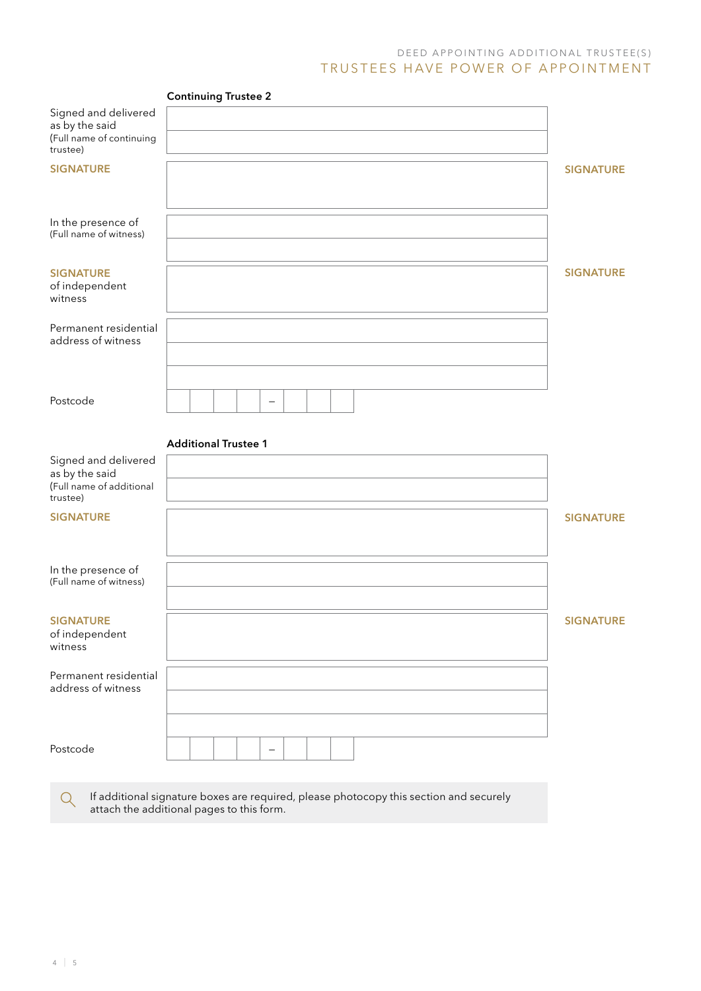#### D E ED A P P O IN TING ADD ITIONAL TRUSTEE(S) TRUSTEES HAVE POWER OF APPOINTMENT

|                                                                                | <b>Continuing Trustee 2</b>                                                            |                  |
|--------------------------------------------------------------------------------|----------------------------------------------------------------------------------------|------------------|
| Signed and delivered<br>as by the said<br>(Full name of continuing<br>trustee) |                                                                                        |                  |
| <b>SIGNATURE</b>                                                               |                                                                                        | <b>SIGNATURE</b> |
| In the presence of<br>(Full name of witness)                                   |                                                                                        |                  |
| <b>SIGNATURE</b><br>of independent<br>witness                                  |                                                                                        | <b>SIGNATURE</b> |
| Permanent residential<br>address of witness                                    |                                                                                        |                  |
| Postcode                                                                       | $\overline{\phantom{m}}$                                                               |                  |
|                                                                                | <b>Additional Trustee 1</b>                                                            |                  |
| Signed and delivered<br>as by the said<br>(Full name of additional<br>trustee) |                                                                                        |                  |
| <b>SIGNATURE</b>                                                               |                                                                                        | <b>SIGNATURE</b> |
| In the presence of<br>(Full name of witness)                                   |                                                                                        |                  |
| <b>SIGNATURE</b><br>of independent<br>witness                                  |                                                                                        | <b>SIGNATURE</b> |
| Permanent residential<br>address of witness                                    |                                                                                        |                  |
| Postcode                                                                       | $\qquad \qquad -$                                                                      |                  |
| Q                                                                              | If additional signature boxes are required, please photocopy this section and securely |                  |

attach the additional pages to this form.